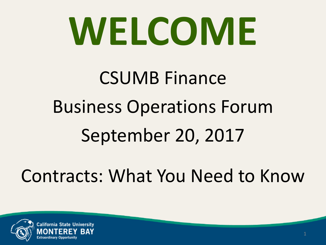# **WELCOME**

## CSUMB Finance Business Operations Forum September 20, 2017

Contracts: What You Need to Know

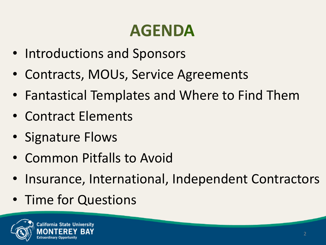### **AGENDA**

- Introductions and Sponsors
- Contracts, MOUs, Service Agreements
- Fantastical Templates and Where to Find Them
- Contract Elements
- Signature Flows
- Common Pitfalls to Avoid
- Insurance, International, Independent Contractors
- Time for Questions

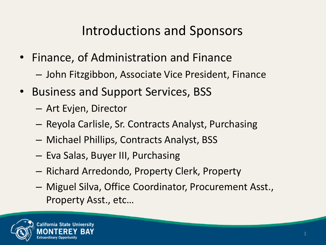### Introductions and Sponsors

- Finance, of Administration and Finance
	- John Fitzgibbon, Associate Vice President, Finance
- Business and Support Services, BSS
	- Art Evjen, Director
	- Reyola Carlisle, Sr. Contracts Analyst, Purchasing
	- Michael Phillips, Contracts Analyst, BSS
	- Eva Salas, Buyer III, Purchasing
	- Richard Arredondo, Property Clerk, Property
	- Miguel Silva, Office Coordinator, Procurement Asst., Property Asst., etc…

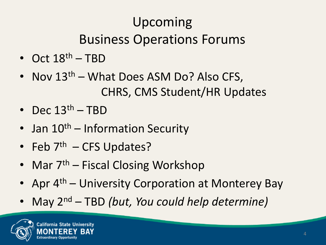### Upcoming Business Operations Forums

- Oct  $18^{th}$  TBD
- Nov  $13<sup>th</sup>$  What Does ASM Do? Also CFS, CHRS, CMS Student/HR Updates
- Dec  $13<sup>th</sup>$  TBD
- Jan  $10^{th}$  Information Security
- Feb  $7<sup>th</sup>$  CFS Updates?
- Mar  $7<sup>th</sup>$  Fiscal Closing Workshop
- Apr  $4<sup>th</sup>$  University Corporation at Monterey Bay
- May 2nd TBD *(but, You could help determine)*

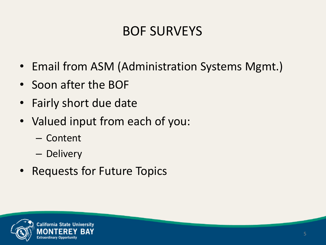### BOF SURVEYS

- Email from ASM (Administration Systems Mgmt.)
- Soon after the BOF
- Fairly short due date
- Valued input from each of you:
	- Content
	- Delivery
- Requests for Future Topics

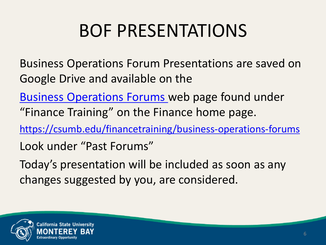### BOF PRESENTATIONS

- Business Operations Forum Presentations are saved on Google Drive and available on the
- [Business Operations Forums](https://csumb.edu/finance/business-operations-forums-0) web page found under "Finance Training" on the Finance home page.
- [https://csumb.edu/financetraining/business-operations-forums](https://csumb.edu/financetraining/business-operations-forums-0)
- Look under "Past Forums"
- Today's presentation will be included as soon as any changes suggested by you, are considered.

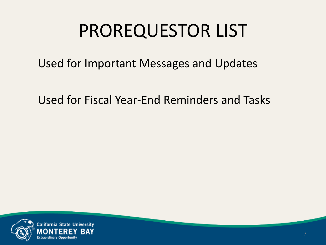### PROREQUESTOR LIST

Used for Important Messages and Updates

Used for Fiscal Year-End Reminders and Tasks

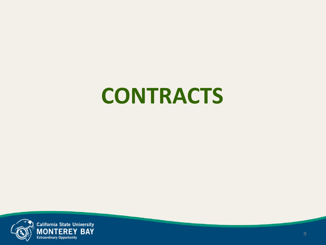## **CONTRACTS**

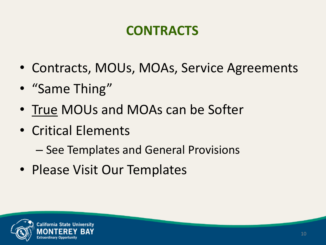### **CONTRACTS**

- Contracts, MOUs, MOAs, Service Agreements
- "Same Thing"
- True MOUs and MOAs can be Softer
- Critical Elements
	- See Templates and General Provisions
- Please Visit Our Templates

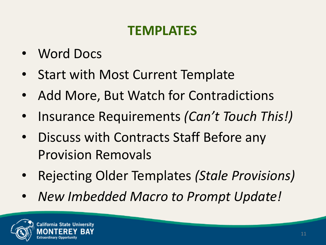### **TEMPLATES**

- Word Docs
- Start with Most Current Template
- Add More, But Watch for Contradictions
- Insurance Requirements *(Can't Touch This!)*
- Discuss with Contracts Staff Before any Provision Removals
- Rejecting Older Templates *(Stale Provisions)*
- *New Imbedded Macro to Prompt Update!*

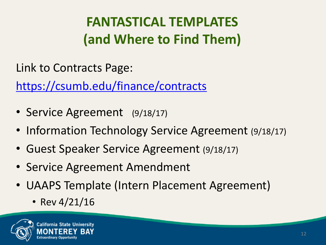### **FANTASTICAL TEMPLATES (and Where to Find Them)**

Link to Contracts Page:

<https://csumb.edu/finance/contracts>

- Service Agreement (9/18/17)
- Information Technology Service Agreement (9/18/17)
- Guest Speaker Service Agreement (9/18/17)
- Service Agreement Amendment
- UAAPS Template (Intern Placement Agreement)
	- Rev  $4/21/16$

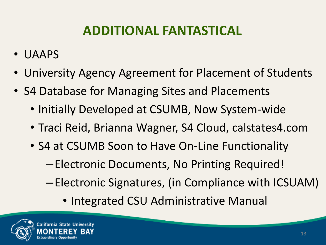### **ADDITIONAL FANTASTICAL**

- UAAPS
- University Agency Agreement for Placement of Students
- S4 Database for Managing Sites and Placements
	- Initially Developed at CSUMB, Now System-wide
	- Traci Reid, Brianna Wagner, S4 Cloud, calstates4.com
	- S4 at CSUMB Soon to Have On-Line Functionality
		- –Electronic Documents, No Printing Required!
		- –Electronic Signatures, (in Compliance with ICSUAM)
			- Integrated CSU Administrative Manual

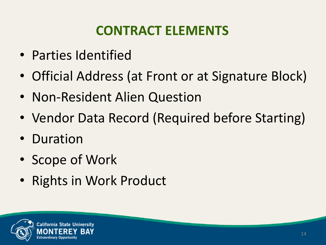### **CONTRACT ELEMENTS**

- Parties Identified
- Official Address (at Front or at Signature Block)
- Non-Resident Alien Question
- Vendor Data Record (Required before Starting)
- Duration
- Scope of Work
- Rights in Work Product

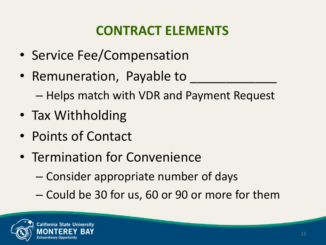### **CONTRACT ELEMENTS**

- Service Fee/Compensation
- Remuneration, Payable to
	- Helps match with VDR and Payment Request
- Tax Withholding
- Points of Contact
- Termination for Convenience
	- Consider appropriate number of days
	- Could be 30 for us, 60 or 90 or more for them

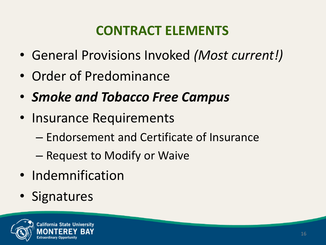### **CONTRACT ELEMENTS**

- General Provisions Invoked *(Most current!)*
- Order of Predominance
- *Smoke and Tobacco Free Campus*
- Insurance Requirements
	- Endorsement and Certificate of Insurance
	- Request to Modify or Waive
- Indemnification
- Signatures

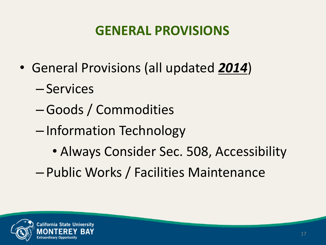### **GENERAL PROVISIONS**

- General Provisions (all updated *2014*)
	- Services
	- –Goods / Commodities
	- Information Technology
		- Always Consider Sec. 508, Accessibility
	- Public Works / Facilities Maintenance

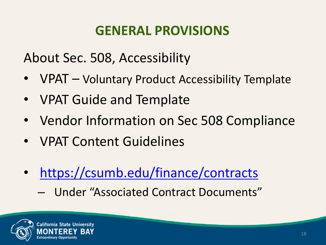### **GENERAL PROVISIONS**

About Sec. 508, Accessibility

- VPAT Voluntary Product Accessibility Template
- VPAT Guide and Template
- Vendor Information on Sec 508 Compliance
- VPAT Content Guidelines
- <https://csumb.edu/finance/contracts>
	- Under "Associated Contract Documents"

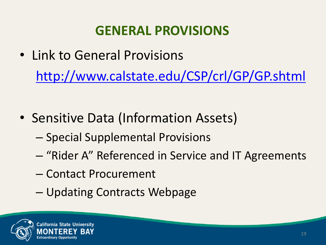### **GENERAL PROVISIONS**

- Link to General Provisions <http://www.calstate.edu/CSP/crl/GP/GP.shtml>
- Sensitive Data (Information Assets)
	- Special Supplemental Provisions
	- "Rider A" Referenced in Service and IT Agreements
	- Contact Procurement
	- Updating Contracts Webpage

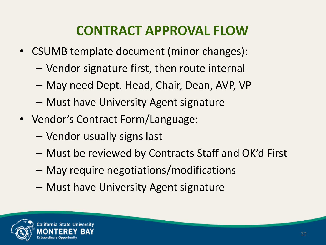### **CONTRACT APPROVAL FLOW**

- CSUMB template document (minor changes):
	- Vendor signature first, then route internal
	- May need Dept. Head, Chair, Dean, AVP, VP
	- Must have University Agent signature
- Vendor's Contract Form/Language:
	- Vendor usually signs last
	- Must be reviewed by Contracts Staff and OK'd First
	- May require negotiations/modifications
	- Must have University Agent signature

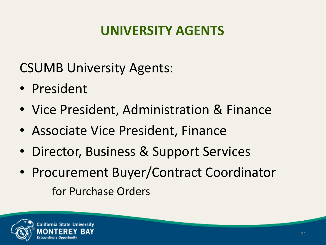### **UNIVERSITY AGENTS**

CSUMB University Agents:

- President
- Vice President, Administration & Finance
- Associate Vice President, Finance
- Director, Business & Support Services
- Procurement Buyer/Contract Coordinator for Purchase Orders

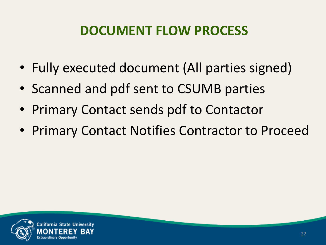### **DOCUMENT FLOW PROCESS**

- Fully executed document (All parties signed)
- Scanned and pdf sent to CSUMB parties
- Primary Contact sends pdf to Contactor
- Primary Contact Notifies Contractor to Proceed

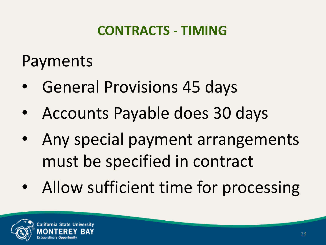### **CONTRACTS - TIMING**

### Payments

- General Provisions 45 days
- Accounts Payable does 30 days
- Any special payment arrangements must be specified in contract
- Allow sufficient time for processing

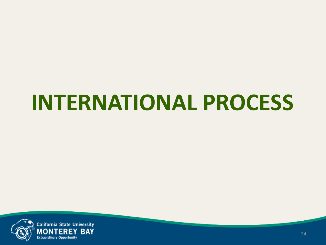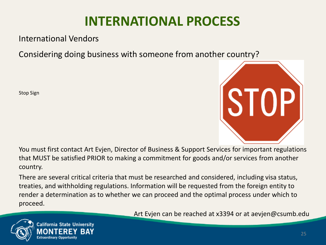International Vendors

Considering doing business with someone from another country?

Stop Sign



You must first contact Art Evjen, Director of Business & Support Services for important regulations that MUST be satisfied PRIOR to making a commitment for goods and/or services from another country.

There are several critical criteria that must be researched and considered, including visa status, treaties, and withholding regulations. Information will be requested from the foreign entity to render a determination as to whether we can proceed and the optimal process under which to proceed.





**California State University**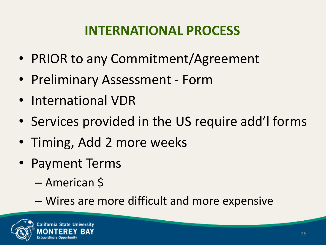- PRIOR to any Commitment/Agreement
- Preliminary Assessment Form
- International VDR
- Services provided in the US require add'l forms
- Timing, Add 2 more weeks
- Payment Terms
	- American \$
	- Wires are more difficult and more expensive

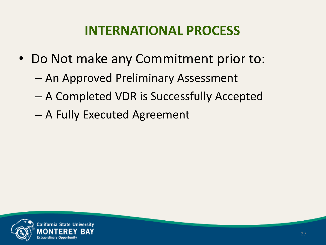- Do Not make any Commitment prior to:
	- An Approved Preliminary Assessment
	- A Completed VDR is Successfully Accepted
	- A Fully Executed Agreement

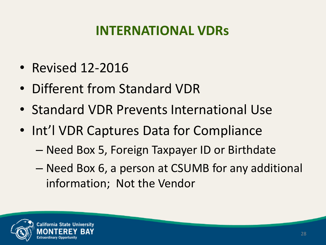### **INTERNATIONAL VDRs**

- Revised 12-2016
- Different from Standard VDR
- Standard VDR Prevents International Use
- Int'l VDR Captures Data for Compliance
	- Need Box 5, Foreign Taxpayer ID or Birthdate
	- Need Box 6, a person at CSUMB for any additional information; Not the Vendor

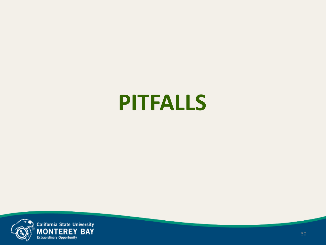### **PITFALLS**

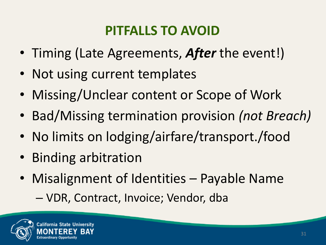### **PITFALLS TO AVOID**

- Timing (Late Agreements, *After* the event!)
- Not using current templates
- Missing/Unclear content or Scope of Work
- Bad/Missing termination provision *(not Breach)*
- No limits on lodging/airfare/transport./food
- Binding arbitration
- Misalignment of Identities Payable Name
	- VDR, Contract, Invoice; Vendor, dba

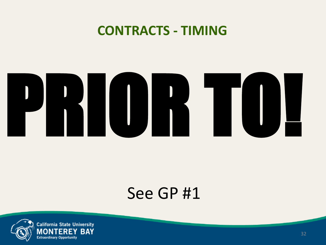#### **CONTRACTS - TIMING**



### See GP #1

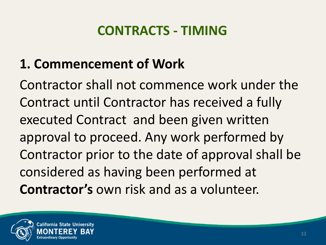### **CONTRACTS - TIMING**

### **1. Commencement of Work**

Contractor shall not commence work under the Contract until Contractor has received a fully executed Contract and been given written approval to proceed. Any work performed by Contractor prior to the date of approval shall be considered as having been performed at **Contractor's** own risk and as a volunteer.

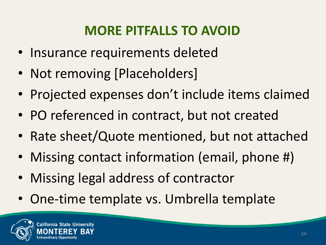### **MORE PITFALLS TO AVOID**

- Insurance requirements deleted
- Not removing [Placeholders]
- Projected expenses don't include items claimed
- PO referenced in contract, but not created
- Rate sheet/Quote mentioned, but not attached
- Missing contact information (email, phone #)
- Missing legal address of contractor
- One-time template vs. Umbrella template

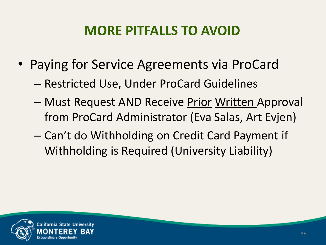### **MORE PITFALLS TO AVOID**

- Paying for Service Agreements via ProCard
	- Restricted Use, Under ProCard Guidelines
	- Must Request AND Receive Prior Written Approval from ProCard Administrator (Eva Salas, Art Evjen)
	- Can't do Withholding on Credit Card Payment if Withholding is Required (University Liability)

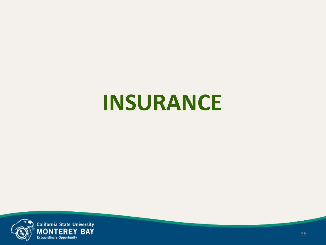### **INSURANCE**

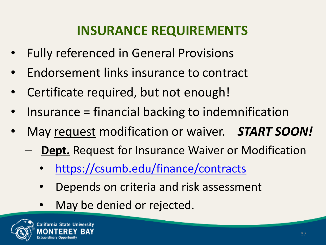### **INSURANCE REQUIREMENTS**

- Fully referenced in General Provisions
- Endorsement links insurance to contract
- Certificate required, but not enough!
- Insurance = financial backing to indemnification
- May request modification or waiver. *START SOON!*
	- **Dept.** Request for Insurance Waiver or Modification
		- <https://csumb.edu/finance/contracts>
		- Depends on criteria and risk assessment
		- May be denied or rejected.

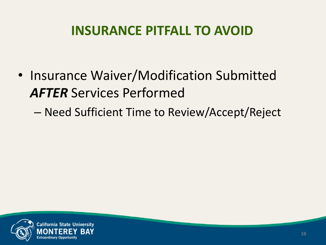### **INSURANCE PITFALL TO AVOID**

- Insurance Waiver/Modification Submitted *AFTER* Services Performed
	- Need Sufficient Time to Review/Accept/Reject

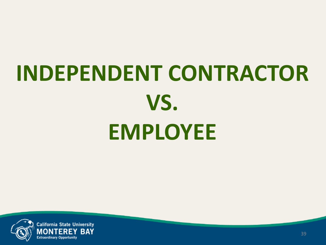## **INDEPENDENT CONTRACTOR VS. EMPLOYEE**

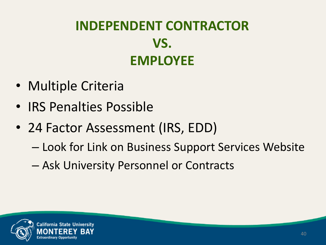### **INDEPENDENT CONTRACTOR VS. EMPLOYEE**

- Multiple Criteria
- IRS Penalties Possible
- 24 Factor Assessment (IRS, EDD)
	- Look for Link on Business Support Services Website
	- Ask University Personnel or Contracts

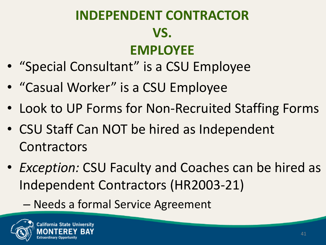### **INDEPENDENT CONTRACTOR VS. EMPLOYEE**

- "Special Consultant" is a CSU Employee
- "Casual Worker" is a CSU Employee
- Look to UP Forms for Non-Recruited Staffing Forms
- CSU Staff Can NOT be hired as Independent **Contractors**
- *Exception:* CSU Faculty and Coaches can be hired as Independent Contractors (HR2003-21)

– Needs a formal Service Agreement

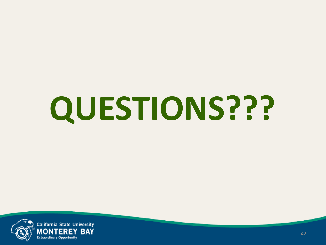# **QUESTIONS???**